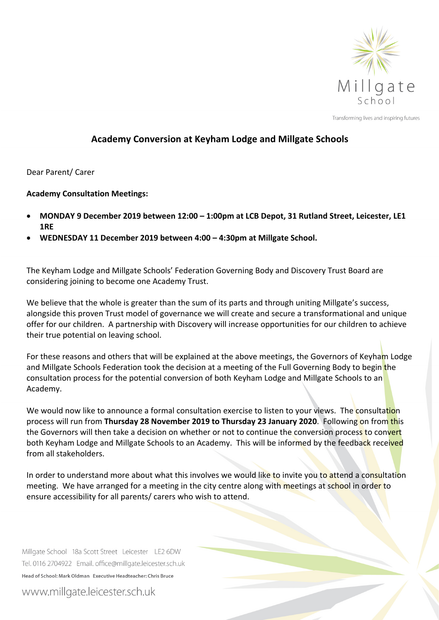

Transforming lives and inspiring futures

## **Academy Conversion at Keyham Lodge and Millgate Schools**

## Dear Parent/ Carer

## **Academy Consultation Meetings:**

- **MONDAY 9 December 2019 between 12:00 – 1:00pm at LCB Depot, 31 Rutland Street, Leicester, LE1 1RE**
- **WEDNESDAY 11 December 2019 between 4:00 – 4:30pm at Millgate School.**

The Keyham Lodge and Millgate Schools' Federation Governing Body and Discovery Trust Board are considering joining to become one Academy Trust.

We believe that the whole is greater than the sum of its parts and through uniting Millgate's success, alongside this proven Trust model of governance we will create and secure a transformational and unique offer for our children. A partnership with Discovery will increase opportunities for our children to achieve their true potential on leaving school.

For these reasons and others that will be explained at the above meetings, the Governors of Keyham Lodge and Millgate Schools Federation took the decision at a meeting of the Full Governing Body to begin the consultation process for the potential conversion of both Keyham Lodge and Millgate Schools to an Academy.

We would now like to announce a formal consultation exercise to listen to your views. The consultation process will run from **Thursday 28 November 2019 to Thursday 23 January 2020**. Following on from this the Governors will then take a decision on whether or not to continue the conversion process to convert both Keyham Lodge and Millgate Schools to an Academy. This will be informed by the feedback received from all stakeholders.

In order to understand more about what this involves we would like to invite you to attend a consultation meeting. We have arranged for a meeting in the city centre along with meetings at school in order to ensure accessibility for all parents/ carers who wish to attend.

Millgate School 18a Scott Street Leicester LE2 6DW Tel. 0116 2704922 Email. office@millgate.leicester.sch.uk Head of School: Mark Oldman Executive Headteacher: Chris Bruce

www.millgate.leicester.sch.uk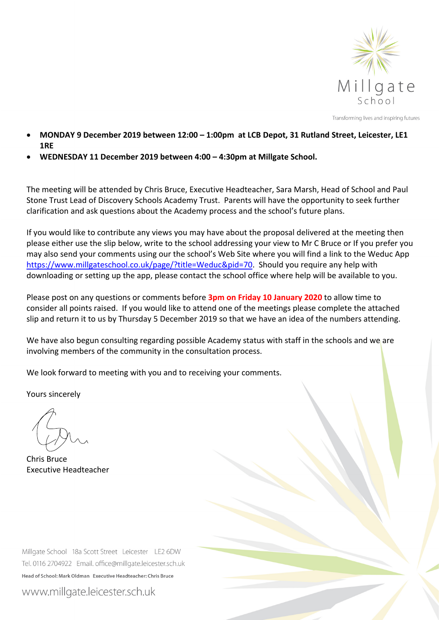

Transforming lives and inspiring futures

- **MONDAY 9 December 2019 between 12:00 – 1:00pm at LCB Depot, 31 Rutland Street, Leicester, LE1 1RE**
- **WEDNESDAY 11 December 2019 between 4:00 – 4:30pm at Millgate School.**

The meeting will be attended by Chris Bruce, Executive Headteacher, Sara Marsh, Head of School and Paul Stone Trust Lead of Discovery Schools Academy Trust. Parents will have the opportunity to seek further clarification and ask questions about the Academy process and the school's future plans.

If you would like to contribute any views you may have about the proposal delivered at the meeting then please either use the slip below, write to the school addressing your view to Mr C Bruce or If you prefer you may also send your comments using our the school's Web Site where you will find a link to the Weduc App https://www.millgateschool.co.uk/page/?title=Weduc&pid=70. Should you require any help with downloading or setting up the app, please contact the school office where help will be available to you.

Please post on any questions or comments before **3pm on Friday 10 January 2020** to allow time to consider all points raised. If you would like to attend one of the meetings please complete the attached slip and return it to us by Thursday 5 December 2019 so that we have an idea of the numbers attending.

We have also begun consulting regarding possible Academy status with staff in the schools and we are involving members of the community in the consultation process.

We look forward to meeting with you and to receiving your comments.

Yours sincerely

Chris Bruce Executive Headteacher

Millgate School 18a Scott Street Leicester LE2 6DW Tel. 0116 2704922 Email. office@millgate.leicester.sch.uk Head of School: Mark Oldman Executive Headteacher: Chris Bruce

www.millgate.leicester.sch.uk